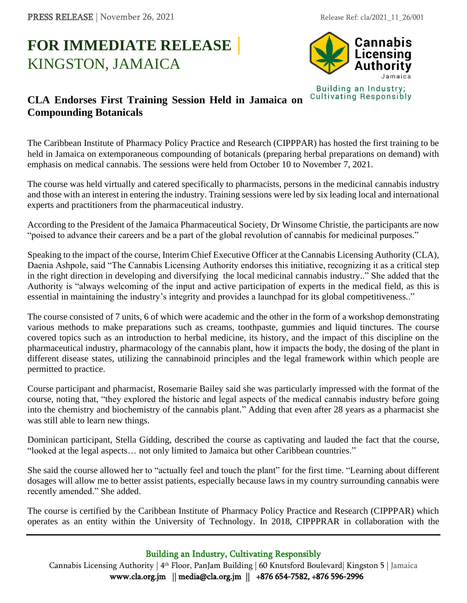## **FOR IMMEDIATE RELEASE |** KINGSTON, JAMAICA



## **CLA Endorses First Training Session Held in Jamaica on Compounding Botanicals**

The Caribbean Institute of Pharmacy Policy Practice and Research (CIPPPAR) has hosted the first training to be held in Jamaica on extemporaneous compounding of botanicals (preparing herbal preparations on demand) with emphasis on medical cannabis. The sessions were held from October 10 to November 7, 2021.

The course was held virtually and catered specifically to pharmacists, persons in the medicinal cannabis industry and those with an interest in entering the industry. Training sessions were led by six leading local and international experts and practitioners from the pharmaceutical industry.

According to the President of the Jamaica Pharmaceutical Society, Dr Winsome Christie, the participants are now "poised to advance their careers and be a part of the global revolution of cannabis for medicinal purposes."

Speaking to the impact of the course, Interim Chief Executive Officer at the Cannabis Licensing Authority (CLA), Daenia Ashpole, said "The Cannabis Licensing Authority endorses this initiative, recognizing it as a critical step in the right direction in developing and diversifying the local medicinal cannabis industry.." She added that the Authority is "always welcoming of the input and active participation of experts in the medical field, as this is essential in maintaining the industry's integrity and provides a launchpad for its global competitiveness.."

The course consisted of 7 units, 6 of which were academic and the other in the form of a workshop demonstrating various methods to make preparations such as creams, toothpaste, gummies and liquid tinctures. The course covered topics such as an introduction to herbal medicine, its history, and the impact of this discipline on the pharmaceutical industry, pharmacology of the cannabis plant, how it impacts the body, the dosing of the plant in different disease states, utilizing the cannabinoid principles and the legal framework within which people are permitted to practice.

Course participant and pharmacist, Rosemarie Bailey said she was particularly impressed with the format of the course, noting that, "they explored the historic and legal aspects of the medical cannabis industry before going into the chemistry and biochemistry of the cannabis plant." Adding that even after 28 years as a pharmacist she was still able to learn new things.

Dominican participant, Stella Gidding, described the course as captivating and lauded the fact that the course, "looked at the legal aspects… not only limited to Jamaica but other Caribbean countries."

She said the course allowed her to "actually feel and touch the plant" for the first time. "Learning about different dosages will allow me to better assist patients, especially because laws in my country surrounding cannabis were recently amended." She added.

The course is certified by the Caribbean Institute of Pharmacy Policy Practice and Research (CIPPPAR) which operates as an entity within the University of Technology. In 2018, CIPPPRAR in collaboration with the

Building an Industry, Cultivating Responsibly

Cannabis Licensing Authority | 4th Floor, PanJam Building | 60 Knutsford Boulevard| Kingston 5 | Jamaica www.cla.org.jm || media@cla.org.jm || +876 654-7582, +876 596-2996